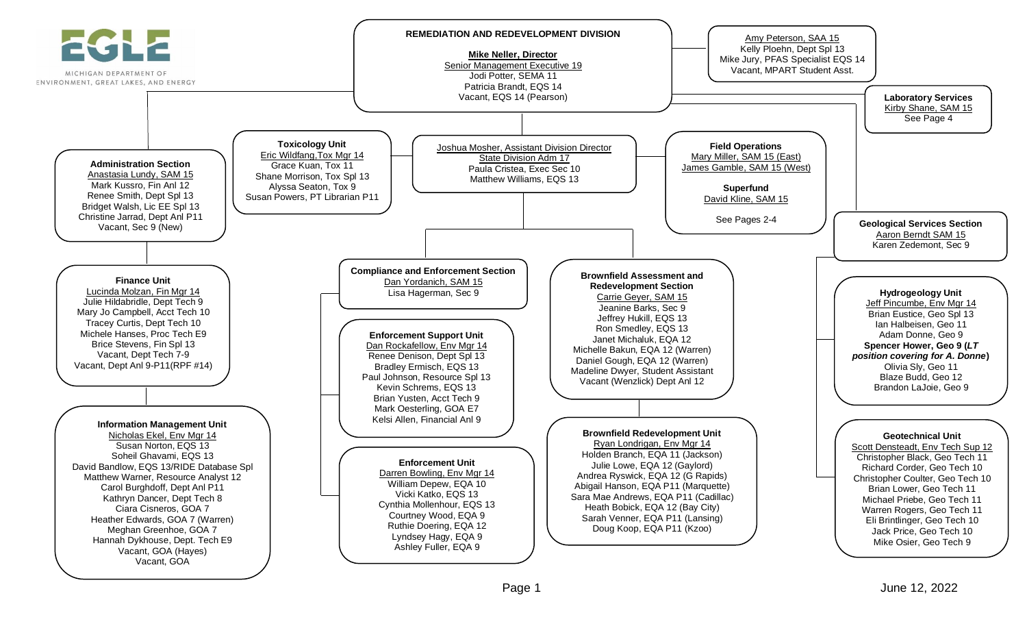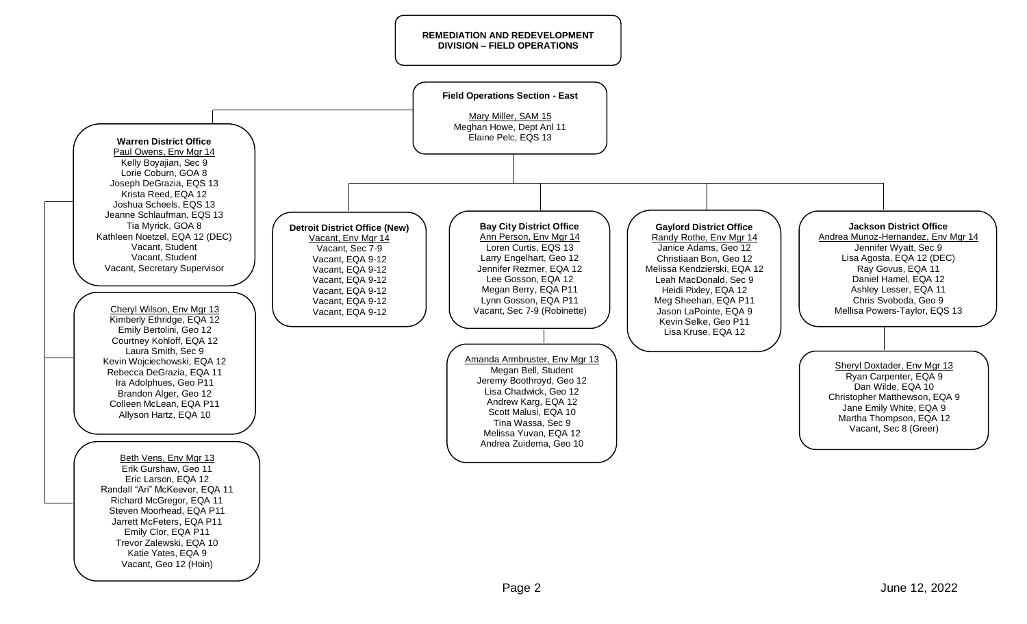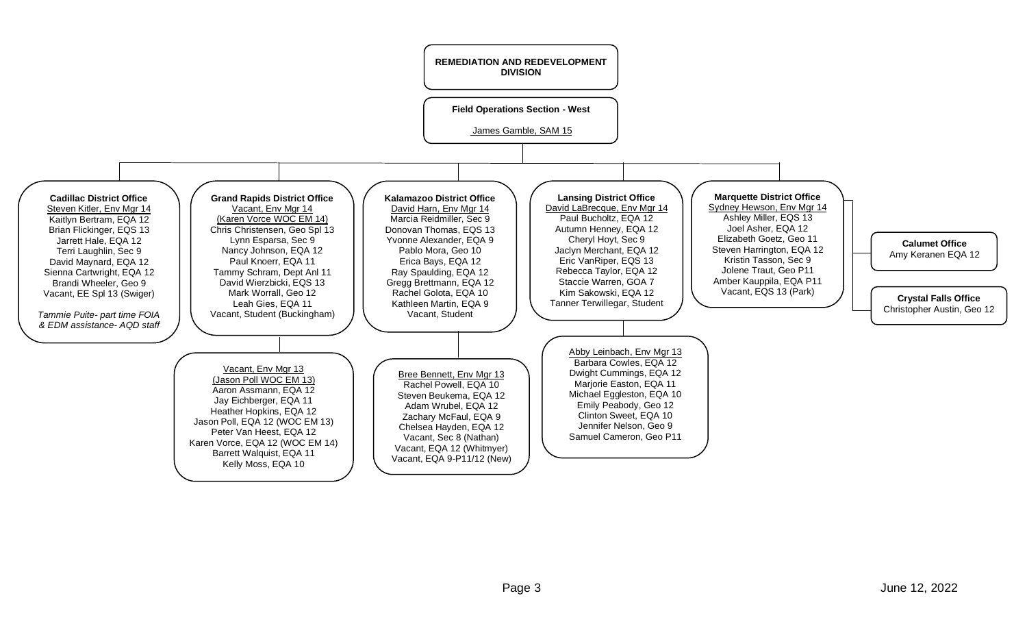